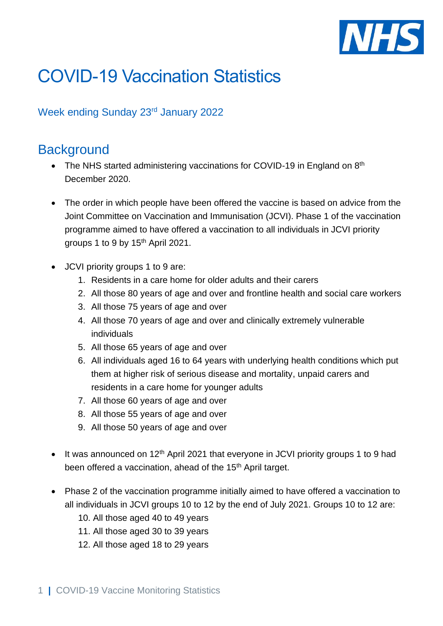

# COVID-19 Vaccination Statistics

#### Week ending Sunday 23rd January 2022

### **Background**

- The NHS started administering vaccinations for COVID-19 in England on  $8<sup>th</sup>$ December 2020.
- The order in which people have been offered the vaccine is based on advice from the Joint Committee on Vaccination and Immunisation (JCVI). Phase 1 of the vaccination programme aimed to have offered a vaccination to all individuals in JCVI priority groups 1 to 9 by 15<sup>th</sup> April 2021.
- JCVI priority groups 1 to 9 are:
	- 1. Residents in a care home for older adults and their carers
	- 2. All those 80 years of age and over and frontline health and social care workers
	- 3. All those 75 years of age and over
	- 4. All those 70 years of age and over and clinically extremely vulnerable individuals
	- 5. All those 65 years of age and over
	- 6. All individuals aged 16 to 64 years with underlying health conditions which put them at higher risk of serious disease and mortality, unpaid carers and residents in a care home for younger adults
	- 7. All those 60 years of age and over
	- 8. All those 55 years of age and over
	- 9. All those 50 years of age and over
- $\bullet$  It was announced on 12<sup>th</sup> April 2021 that everyone in JCVI priority groups 1 to 9 had been offered a vaccination, ahead of the 15<sup>th</sup> April target.
- Phase 2 of the vaccination programme initially aimed to have offered a vaccination to all individuals in JCVI groups 10 to 12 by the end of July 2021. Groups 10 to 12 are:
	- 10. All those aged 40 to 49 years
	- 11. All those aged 30 to 39 years
	- 12. All those aged 18 to 29 years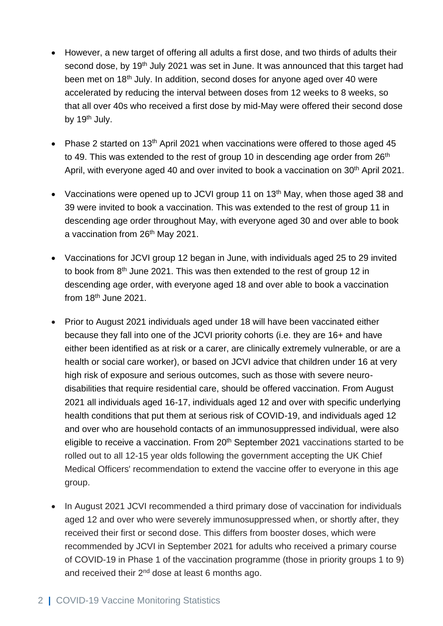- However, a new target of offering all adults a first dose, and two thirds of adults their second dose, by 19<sup>th</sup> July 2021 was set in June. It was announced that this target had been met on 18<sup>th</sup> July. In addition, second doses for anyone aged over 40 were accelerated by reducing the interval between doses from 12 weeks to 8 weeks, so that all over 40s who received a first dose by mid-May were offered their second dose by 19<sup>th</sup> July.
- Phase 2 started on 13<sup>th</sup> April 2021 when vaccinations were offered to those aged 45 to 49. This was extended to the rest of group 10 in descending age order from 26<sup>th</sup> April, with everyone aged 40 and over invited to book a vaccination on 30<sup>th</sup> April 2021.
- Vaccinations were opened up to JCVI group 11 on 13<sup>th</sup> May, when those aged 38 and 39 were invited to book a vaccination. This was extended to the rest of group 11 in descending age order throughout May, with everyone aged 30 and over able to book a vaccination from 26<sup>th</sup> May 2021.
- Vaccinations for JCVI group 12 began in June, with individuals aged 25 to 29 invited to book from 8th June 2021. This was then extended to the rest of group 12 in descending age order, with everyone aged 18 and over able to book a vaccination from  $18<sup>th</sup>$  June 2021.
- Prior to August 2021 individuals aged under 18 will have been vaccinated either because they fall into one of the JCVI priority cohorts (i.e. they are 16+ and have either been identified as at risk or a carer, are clinically extremely vulnerable, or are a health or social care worker), or based on JCVI advice that children under 16 at very high risk of exposure and serious outcomes, such as those with severe neurodisabilities that require residential care, should be offered vaccination. From August 2021 all individuals aged 16-17, individuals aged 12 and over with specific underlying health conditions that put them at serious risk of COVID-19, and individuals aged 12 and over who are household contacts of an immunosuppressed individual, were also eligible to receive a vaccination. From 20<sup>th</sup> September 2021 vaccinations started to be rolled out to all 12-15 year olds following the government accepting the UK Chief Medical Officers' recommendation to extend the vaccine offer to everyone in this age group.
- In August 2021 JCVI recommended a third primary dose of vaccination for individuals aged 12 and over who were severely immunosuppressed when, or shortly after, they received their first or second dose. This differs from booster doses, which were recommended by JCVI in September 2021 for adults who received a primary course of COVID-19 in Phase 1 of the vaccination programme (those in priority groups 1 to 9) and received their  $2^{nd}$  dose at least 6 months ago.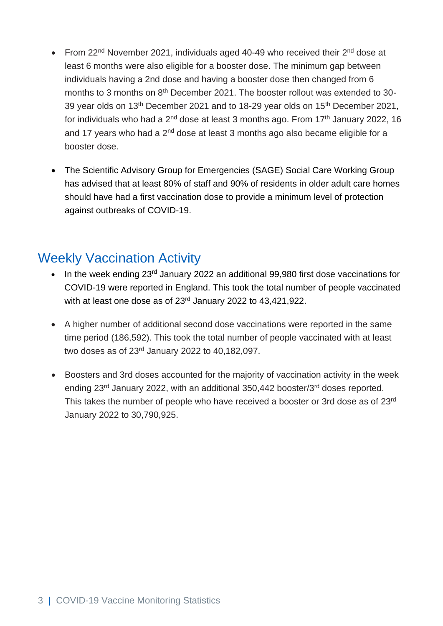- From  $22<sup>nd</sup>$  November 2021, individuals aged 40-49 who received their  $2<sup>nd</sup>$  dose at least 6 months were also eligible for a booster dose. The minimum gap between individuals having a 2nd dose and having a booster dose then changed from 6 months to 3 months on 8<sup>th</sup> December 2021. The booster rollout was extended to 30-39 year olds on 13<sup>th</sup> December 2021 and to 18-29 year olds on 15<sup>th</sup> December 2021, for individuals who had a  $2<sup>nd</sup>$  dose at least 3 months ago. From  $17<sup>th</sup>$  January 2022, 16 and 17 years who had a  $2^{nd}$  dose at least 3 months ago also became eligible for a booster dose.
- The Scientific Advisory Group for Emergencies (SAGE) Social Care Working Group has advised that at least 80% of staff and 90% of residents in older adult care homes should have had a first vaccination dose to provide a minimum level of protection against outbreaks of COVID-19.

### Weekly Vaccination Activity

- In the week ending 23<sup>rd</sup> January 2022 an additional 99,980 first dose vaccinations for COVID-19 were reported in England. This took the total number of people vaccinated with at least one dose as of 23rd January 2022 to 43,421,922.
- A higher number of additional second dose vaccinations were reported in the same time period (186,592). This took the total number of people vaccinated with at least two doses as of 23rd January 2022 to 40,182,097.
- Boosters and 3rd doses accounted for the majority of vaccination activity in the week ending 23<sup>rd</sup> January 2022, with an additional 350,442 booster/3<sup>rd</sup> doses reported. This takes the number of people who have received a booster or 3rd dose as of 23rd January 2022 to 30,790,925.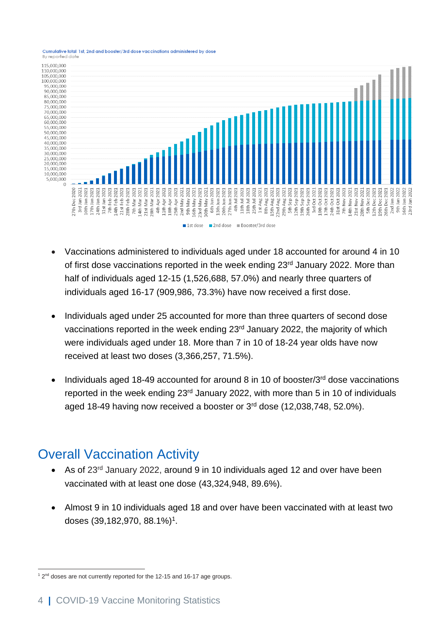



- Vaccinations administered to individuals aged under 18 accounted for around 4 in 10 of first dose vaccinations reported in the week ending 23<sup>rd</sup> January 2022. More than half of individuals aged 12-15 (1,526,688, 57.0%) and nearly three quarters of individuals aged 16-17 (909,986, 73.3%) have now received a first dose.
- Individuals aged under 25 accounted for more than three quarters of second dose vaccinations reported in the week ending 23rd January 2022, the majority of which were individuals aged under 18. More than 7 in 10 of 18-24 year olds have now received at least two doses (3,366,257, 71.5%).
- Individuals aged 18-49 accounted for around 8 in 10 of booster/3rd dose vaccinations reported in the week ending 23<sup>rd</sup> January 2022, with more than 5 in 10 of individuals aged 18-49 having now received a booster or 3<sup>rd</sup> dose (12,038,748, 52.0%).

# Overall Vaccination Activity

- As of 23<sup>rd</sup> January 2022, around 9 in 10 individuals aged 12 and over have been vaccinated with at least one dose (43,324,948, 89.6%).
- Almost 9 in 10 individuals aged 18 and over have been vaccinated with at least two doses (39,182,970, 88.1%) 1 .

 $12<sup>nd</sup>$  doses are not currently reported for the 12-15 and 16-17 age groups.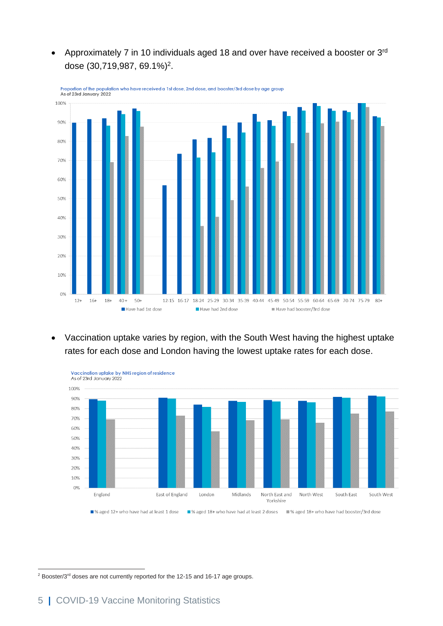• Approximately 7 in 10 individuals aged 18 and over have received a booster or  $3<sup>rd</sup>$ dose (30,719,987, 69.1%)<sup>2</sup> .



Proportion of the population who have received a 1st dose, 2nd dose, and booster/3rd dose by age group<br>As of 23rd January 2022

• Vaccination uptake varies by region, with the South West having the highest uptake rates for each dose and London having the lowest uptake rates for each dose.



<sup>&</sup>lt;sup>2</sup> Booster/3<sup>rd</sup> doses are not currently reported for the 12-15 and 16-17 age groups.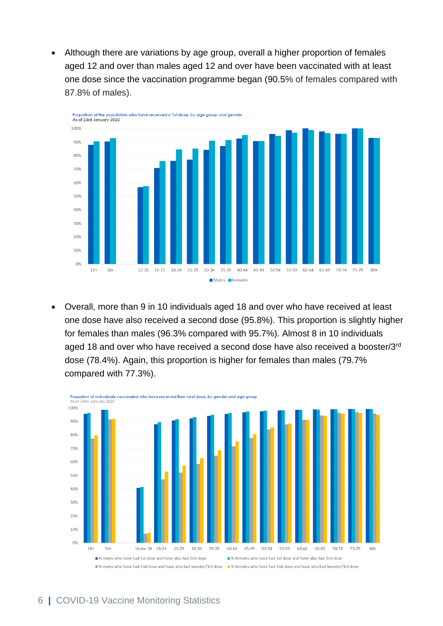• Although there are variations by age group, overall a higher proportion of females aged 12 and over than males aged 12 and over have been vaccinated with at least one dose since the vaccination programme began (90.5% of females compared with 87.8% of males).



• Overall, more than 9 in 10 individuals aged 18 and over who have received at least one dose have also received a second dose (95.8%). This proportion is slightly higher for females than males (96.3% compared with 95.7%). Almost 8 in 10 individuals aged 18 and over who have received a second dose have also received a booster/3rd dose (78.4%). Again, this proportion is higher for females than males (79.7% compared with 77.3%).

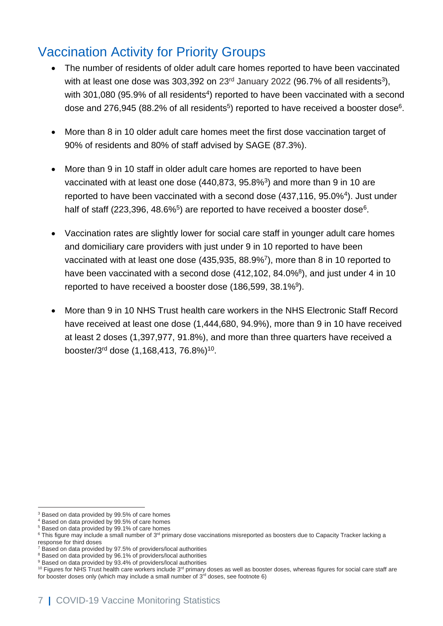# Vaccination Activity for Priority Groups

- The number of residents of older adult care homes reported to have been vaccinated with at least one dose was 303,392 on 23<sup>rd</sup> January 2022 (96.7% of all residents<sup>3</sup>), with 301,080 (95.9% of all residents<sup>4</sup>) reported to have been vaccinated with a second dose and 276,945 (88.2% of all residents<sup>5</sup>) reported to have received a booster dose<sup>6</sup>.
- More than 8 in 10 older adult care homes meet the first dose vaccination target of 90% of residents and 80% of staff advised by SAGE (87.3%).
- More than 9 in 10 staff in older adult care homes are reported to have been vaccinated with at least one dose  $(440,873, 95.8\%)$  and more than 9 in 10 are reported to have been vaccinated with a second dose (437,116, 95.0%<sup>4</sup> ). Just under half of staff (223,396, 48.6% $5$ ) are reported to have received a booster dose $6$ .
- Vaccination rates are slightly lower for social care staff in younger adult care homes and domiciliary care providers with just under 9 in 10 reported to have been vaccinated with at least one dose (435,935, 88.9%<sup>7</sup> ), more than 8 in 10 reported to have been vaccinated with a second dose  $(412, 102, 84.0\%)$ , and just under 4 in 10 reported to have received a booster dose (186,599, 38.1%<sup>9</sup>).
- More than 9 in 10 NHS Trust health care workers in the NHS Electronic Staff Record have received at least one dose (1,444,680, 94.9%), more than 9 in 10 have received at least 2 doses (1,397,977, 91.8%), and more than three quarters have received a booster/3<sup>rd</sup> dose (1,168,413, 76.8%)<sup>10</sup>.

<sup>&</sup>lt;sup>3</sup> Based on data provided by 99.5% of care homes

<sup>4</sup> Based on data provided by 99.5% of care homes

<sup>5</sup> Based on data provided by 99.1% of care homes

 $^6$  This figure may include a small number of 3<sup>rd</sup> primary dose vaccinations misreported as boosters due to Capacity Tracker lacking a response for third doses

<sup>7</sup> Based on data provided by 97.5% of providers/local authorities

<sup>8</sup> Based on data provided by 96.1% of providers/local authorities

<sup>&</sup>lt;sup>9</sup> Based on data provided by 93.4% of providers/local authorities

 $10$  Figures for NHS Trust health care workers include  $3<sup>rd</sup>$  primary doses as well as booster doses, whereas figures for social care staff are for booster doses only (which may include a small number of  $3<sup>rd</sup>$  doses, see footnote 6)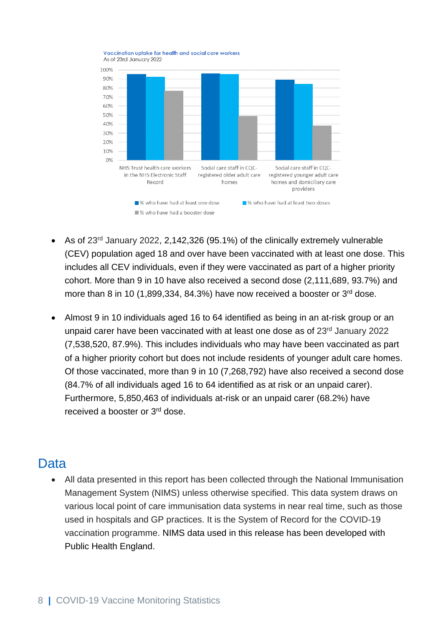

- As of 23rd January 2022, 2,142,326 (95.1%) of the clinically extremely vulnerable (CEV) population aged 18 and over have been vaccinated with at least one dose. This includes all CEV individuals, even if they were vaccinated as part of a higher priority cohort. More than 9 in 10 have also received a second dose (2,111,689, 93.7%) and more than 8 in 10 (1,899,334, 84.3%) have now received a booster or  $3<sup>rd</sup>$  dose.
- Almost 9 in 10 individuals aged 16 to 64 identified as being in an at-risk group or an unpaid carer have been vaccinated with at least one dose as of 23rd January 2022 (7,538,520, 87.9%). This includes individuals who may have been vaccinated as part of a higher priority cohort but does not include residents of younger adult care homes. Of those vaccinated, more than 9 in 10 (7,268,792) have also received a second dose (84.7% of all individuals aged 16 to 64 identified as at risk or an unpaid carer). Furthermore, 5,850,463 of individuals at-risk or an unpaid carer (68.2%) have received a booster or 3<sup>rd</sup> dose.

### Data

• All data presented in this report has been collected through the National Immunisation Management System (NIMS) unless otherwise specified. This data system draws on various local point of care immunisation data systems in near real time, such as those used in hospitals and GP practices. It is the System of Record for the COVID-19 vaccination programme. NIMS data used in this release has been developed with Public Health England.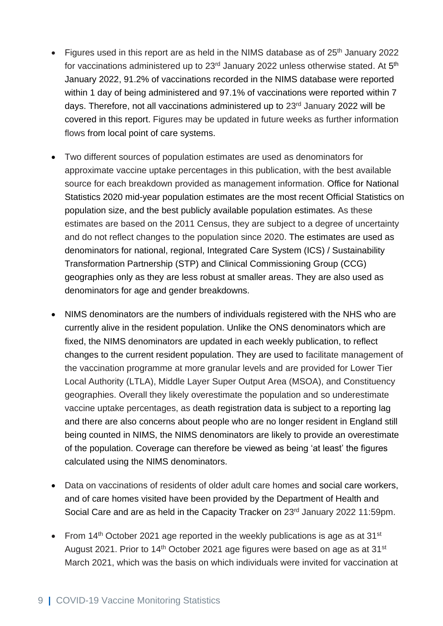- Figures used in this report are as held in the NIMS database as of  $25<sup>th</sup>$  January 2022 for vaccinations administered up to 23 $^{\text{rd}}$  January 2022 unless otherwise stated. At 5<sup>th</sup> January 2022, 91.2% of vaccinations recorded in the NIMS database were reported within 1 day of being administered and 97.1% of vaccinations were reported within 7 days. Therefore, not all vaccinations administered up to 23<sup>rd</sup> January 2022 will be covered in this report. Figures may be updated in future weeks as further information flows from local point of care systems.
- Two different sources of population estimates are used as denominators for approximate vaccine uptake percentages in this publication, with the best available source for each breakdown provided as management information. Office for National Statistics 2020 mid-year population estimates are the most recent Official Statistics on population size, and the best publicly available population estimates. As these estimates are based on the 2011 Census, they are subject to a degree of uncertainty and do not reflect changes to the population since 2020. The estimates are used as denominators for national, regional, Integrated Care System (ICS) / Sustainability Transformation Partnership (STP) and Clinical Commissioning Group (CCG) geographies only as they are less robust at smaller areas. They are also used as denominators for age and gender breakdowns.
- NIMS denominators are the numbers of individuals registered with the NHS who are currently alive in the resident population. Unlike the ONS denominators which are fixed, the NIMS denominators are updated in each weekly publication, to reflect changes to the current resident population. They are used to facilitate management of the vaccination programme at more granular levels and are provided for Lower Tier Local Authority (LTLA), Middle Layer Super Output Area (MSOA), and Constituency geographies. Overall they likely overestimate the population and so underestimate vaccine uptake percentages, as death registration data is subject to a reporting lag and there are also concerns about people who are no longer resident in England still being counted in NIMS, the NIMS denominators are likely to provide an overestimate of the population. Coverage can therefore be viewed as being 'at least' the figures calculated using the NIMS denominators.
- Data on vaccinations of residents of older adult care homes and social care workers, and of care homes visited have been provided by the Department of Health and Social Care and are as held in the Capacity Tracker on 23<sup>rd</sup> January 2022 11:59pm.
- From 14<sup>th</sup> October 2021 age reported in the weekly publications is age as at 31<sup>st</sup> August 2021. Prior to 14<sup>th</sup> October 2021 age figures were based on age as at 31<sup>st</sup> March 2021, which was the basis on which individuals were invited for vaccination at